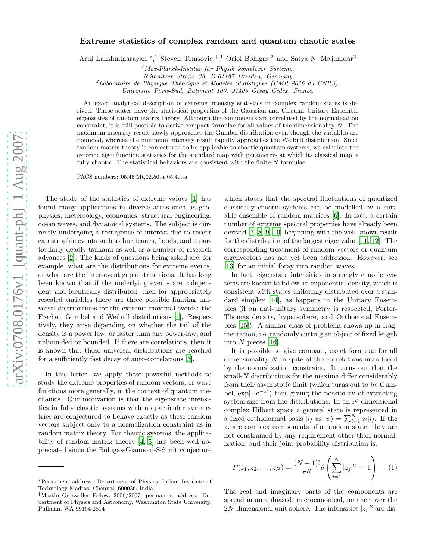## Extreme statistics of complex random and quantum chaotic states

Arul Lakshminarayan \*,<sup>1</sup> Steven Tomsovic <sup>†</sup>,<sup>1</sup> Oriol Bohigas,<sup>2</sup> and Satya N. Majumdar<sup>2</sup>

<sup>1</sup> Max-Planck-Institut für Physik komplexer Systeme,

*N¨othnitzer Stra*β*e 38, D-01187 Dresden, Germany*

<sup>2</sup>Laboratoire de Physique Théorique et Modèles Statistiques (UMR 8626 du CNRS),

*Universite Paris-Sud, Bˆatiment 100, 91405 Orsay Cedex, France.*

An exact analytical description of extreme intensity statistics in complex random states is derived. These states have the statistical properties of the Gaussian and Circular Unitary Ensemble eigenstates of random matrix theory. Although the components are correlated by the normalization constraint, it is still possible to derive compact formulae for all values of the dimensionality N. The maximum intensity result slowly approaches the Gumbel distribution even though the variables are bounded, whereas the minimum intensity result rapidly approaches the Weibull distribution. Since random matrix theory is conjectured to be applicable to chaotic quantum systems, we calculate the extreme eigenfunction statistics for the standard map with parameters at which its classical map is fully chaotic. The statistical behaviors are consistent with the finite-N formulae.

PACS numbers: 05.45.Mt,02.50.-r,05.40.-a

The study of the statistics of extreme values [\[1\]](#page-3-0) has found many applications in diverse areas such as geophysics, metereology, economics, structural engineering, ocean waves, and dynamical systems. The subject is currently undergoing a resurgence of interest due to recent catastrophic events such as hurricanes, floods, and a particularly deadly tsunami as well as a number of research advances [\[2](#page-3-1)]. The kinds of questions being asked are, for example, what are the distributions for extreme events, or what are the inter-event gap distributions. It has long been known that if the underlying events are independent and identically distributed, then for appropriately rescaled variables there are three possible limiting universal distributions for the extreme maximal events: the Fréchet, Gumbel and Weibull distributions [\[1](#page-3-0)]. Respectively, they arise depending on whether the tail of the density is a power law, or faster than any power-law, and unbounded or bounded. If there are correlations, then it is known that these universal distributions are reached for a sufficiently fast decay of auto-correlations [\[3\]](#page-3-2).

In this letter, we apply these powerful methods to study the extreme properties of random vectors, or wave functions more generally, in the context of quantum mechanics. Our motivation is that the eigenstate intensities in fully chaotic systems with no particular symmetries are conjectured to behave exactly as these random vectors subject only to a normalization constraint as in random matrix theory. For chaotic systems, the applicability of random matrix theory [\[4,](#page-3-3) [5\]](#page-3-4) has been well appreciated since the Bohigas-Giannoni-Schmit conjecture

which states that the spectral fluctuations of quantized classically chaotic systems can be modelled by a suitable ensemble of random matrices [\[6](#page-3-5)]. In fact, a certain number of extreme spectral properties have already been derived [\[7](#page-3-6), [8,](#page-3-7) [9,](#page-3-8) [10](#page-3-9)] beginning with the well-known result for the distribution of the largest eigenvalue [\[11,](#page-3-10) [12](#page-3-11)]. The corresponding treatment of random vectors or quantum eigenvectors has not yet been addressed. However, see [\[13\]](#page-3-12) for an initial foray into random waves.

In fact, eigenstate intensities in strongly chaotic systems are known to follow an exponential density, which is consistent with states uniformly distributed over a standard simplex [\[14\]](#page-3-13), as happens in the Unitary Ensembles (if an anti-unitary symmetry is respected, Porter-Thomas density, hypersphere, and Orthogonal Ensembles [\[15\]](#page-3-14)). A similar class of problems shows up in fragmentation, i.e. randomly cutting an object of fixed length into N pieces [\[16](#page-3-15)].

It is possible to give compact, exact formulae for all dimensionality N in spite of the correlations introduced by the normalization constraint. It turns out that the small-N distributions for the maxima differ considerably from their asymptotic limit (which turns out to be Gumbel,  $\exp[-e^{-x}]$ ) thus giving the possibility of extracting system size from the distributions. In an N-dimensional complex Hilbert space a general state is represented in a fixed orthonormal basis  $|i\rangle$  as  $|\psi\rangle = \sum_{i=1}^{N} z_i |i\rangle$ . If the  $z_i$  are complex components of a random state, they are not constrained by any requirement other than normalization, and their joint probability distribution is:

$$
P(z_1, z_2, \dots, z_N) = \frac{(N-1)!}{\pi^N} \delta \left( \sum_{j=1}^N |z_j|^2 - 1 \right). \tag{1}
$$

The real and imaginary parts of the components are spread in an unbiased, microcanonical, manner over the 2N-dimensional unit sphere. The intensities  $|z_i|^2$  are dis-

<sup>∗</sup>Permanent address: Department of Physics, Indian Institute of Technology Madras, Chennai, 600036, India.

<sup>†</sup>Martin Gutzwiller Fellow, 2006/2007; permanent address: Department of Physics and Astronomy, Washington State University, Pullman, WA 99164-2814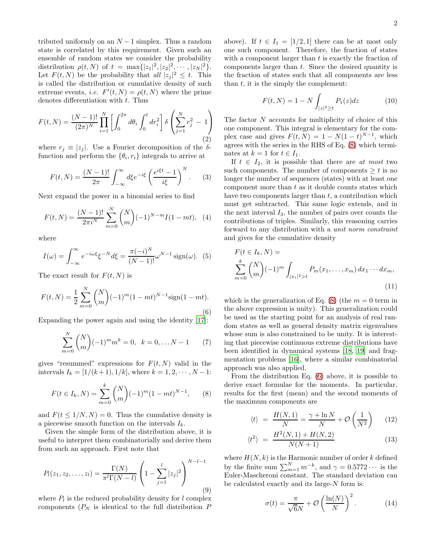tributed uniformly on an  $N-1$  simplex. Thus a random state is correlated by this requirement. Given such an ensemble of random states we consider the probability distribution  $\rho(t, N)$  of  $t = \max\{|z_1|^2, |z_2|^2, \cdots, |z_N|^2\}.$ Let  $F(t, N)$  be the probability that all  $|z_j|^2 \leq t$ . This is called the distribution or cumulative density of such extreme events, *i.e.*  $F'(t, N) = \rho(t, N)$  where the prime denotes differentiation with  $t$ . Thus

<span id="page-1-4"></span>
$$
F(t, N) = \frac{(N-1)!}{(2\pi)^N} \prod_{i=1}^N \left[ \int_0^{2\pi} d\theta_i \int_0^t dr_i^2 \right] \delta \left( \sum_{j=1}^N r_j^2 - 1 \right)
$$
\n(2)

where  $r_j \equiv |z_j|$ . Use a Fourier decomposition of the  $\delta$ function and perform the  $\{\theta_i, r_i\}$  integrals to arrive at

$$
F(t,N) = \frac{(N-1)!}{2\pi} \int_{-\infty}^{\infty} d\xi e^{-i\xi} \left(\frac{e^{i\xi t} - 1}{i\xi}\right)^N.
$$
 (3)

Next expand the power in a binomial series to find

$$
F(t, N) = \frac{(N-1)!}{2\pi i^N} \sum_{m=0}^{N} {N \choose m} (-1)^{N-m} I(1 - mt), \quad (4)
$$

where

$$
I(\omega) = \int_{-\infty}^{\infty} e^{-i\omega\xi} \xi^{-N} d\xi = \frac{\pi(-i)^N}{(N-1)!} \omega^{N-1} \operatorname{sign}(\omega). \tag{5}
$$

The exact result for  $F(t, N)$  is

<span id="page-1-1"></span>
$$
F(t, N) = \frac{1}{2} \sum_{m=0}^{N} {N \choose m} (-1)^m (1 - mt)^{N-1} \text{sign}(1 - mt).
$$
\n(6)

Expanding the power again and using the identity [\[17](#page-3-16)]:

$$
\sum_{m=0}^{N} {N \choose m} (-1)^m m^k = 0, \quad k = 0, \dots N - 1 \tag{7}
$$

gives "resummed" expressions for  $F(t, N)$  valid in the intervals  $I_k = [1/(k+1), 1/k]$ , where  $k = 1, 2, \dots, N-1$ :

<span id="page-1-0"></span>
$$
F(t \in I_k, N) = \sum_{m=0}^{k} {N \choose m} (-1)^m (1 - mt)^{N-1}, \qquad (8)
$$

and  $F(t \leq 1/N, N) = 0$ . Thus the cumulative density is a piecewise smooth function on the intervals  $I_k$ .

Given the simple form of the distribution above, it is useful to interpret them combinatorially and derive them from such an approach. First note that

$$
P_l(z_1, z_2, \dots, z_l) = \frac{\Gamma(N)}{\pi^l \Gamma(N - l)} \left( 1 - \sum_{j=1}^l |z_j|^2 \right)^{N - l - 1}
$$
\n(9)

where  $P_l$  is the reduced probability density for l complex components  $(P_N)$  is identical to the full distribution P above). If  $t \in I_1 = [1/2, 1]$  there can be at most only one such component. Therefore, the fraction of states with a component larger than  $t$  is exactly the fraction of components larger than t. Since the desired quantity is the fraction of states such that all components are less than  $t$ , it is the simply the complement:

$$
F(t, N) = 1 - N \int_{|z|^2 \ge t} P_1(z) dz \tag{10}
$$

The factor N accounts for multiplicity of choice of this one component. This integral is elementary for the complex case and gives  $F(t, N) = 1 - N(1 - t)^{N-1}$ , which agrees with the series in the RHS of Eq. [\(8\)](#page-1-0) which terminates at  $k = 1$  for  $t \in I_1$ .

If  $t \in I_2$ , it is possible that there are at most two such components. The number of components  $\geq t$  is no longer the number of sequences (states) with at least one component more than  $t$  as it double counts states which have two components larger than  $t$ , a contribution which must get subtracted. This same logic extends, and in the next interval  $I_3$ , the number of pairs over counts the contributions of triples. Similarly, this reasoning carries forward to any distribution with a unit norm constraint and gives for the cumulative density

$$
F(t \in I_k, N) =
$$
  

$$
\sum_{m=0}^{k} {N \choose m} (-1)^m \int_{|x_i|^2 > t} P_m(x_1, \dots, x_m) dx_1 \cdots dx_m,
$$
  
(11)

which is the generalization of Eq. [\(8\)](#page-1-0) (the  $m = 0$  term in the above expression is unity). This generalization could be used as the starting point for an analysis of real random states as well as general density matrix eigenvalues whose sum is also constrained to be unity. It is interesting that piecewise continuous extreme distributions have been identified in dynamical systems [\[18,](#page-3-17) [19\]](#page-3-18) and fragmentation problems [\[16](#page-3-15)], where a similar combinatorial approach was also applied.

From the distribution Eq. [\(6\)](#page-1-1) above, it is possible to derive exact formulae for the moments. In particular, results for the first (mean) and the second moments of the maximum components are

<span id="page-1-2"></span>
$$
\langle t \rangle = \frac{H(N,1)}{N} = \frac{\gamma + \ln N}{N} + \mathcal{O}\left(\frac{1}{N^2}\right) \tag{12}
$$

$$
\langle t^2 \rangle = \frac{H^2(N,1) + H(N,2)}{N(N+1)} \tag{13}
$$

where  $H(N, k)$  is the Harmonic number of order k defined by the finite sum  $\sum_{m=1}^{N} m^{-k}$ , and  $\gamma = 0.5772 \cdots$  is the Euler-Mascheroni constant. The standard deviation can be calculated exactly and its large-N form is:

<span id="page-1-3"></span>
$$
\sigma(t) = \frac{\pi}{\sqrt{6}N} + \mathcal{O}\left(\frac{\ln(N)}{N}\right)^2.
$$
 (14)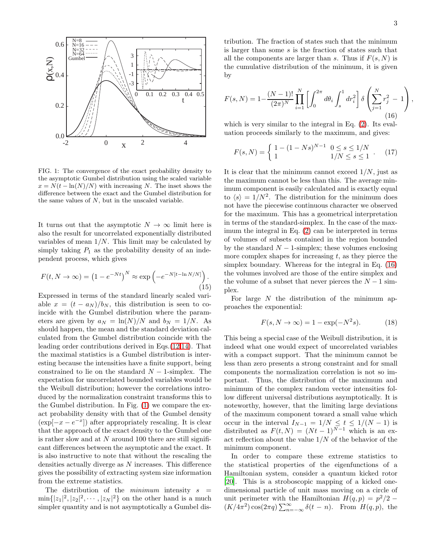

<span id="page-2-0"></span>FIG. 1: The convergence of the exact probability density to the asymptotic Gumbel distribution using the scaled variable  $x = N(t - \ln(N)/N)$  with increasing N. The inset shows the difference between the exact and the Gumbel distribution for the same values of  $N$ , but in the unscaled variable.

It turns out that the asymptotic  $N \to \infty$  limit here is also the result for uncorrelated exponentially distributed variables of mean  $1/N$ . This limit may be calculated by simply taking  $P_1$  as the probability density of an independent process, which gives

$$
F(t, N \to \infty) = (1 - e^{-Nt})^N \approx \exp\left(-e^{-N[t - \ln N/N]}\right).
$$
\n(15)

Expressed in terms of the standard linearly scaled variable  $x = (t - a_N)/b_N$ , this distribution is seen to coincide with the Gumbel distribution where the parameters are given by  $a_N = \ln(N)/N$  and  $b_N = 1/N$ . As should happen, the mean and the standard deviation calculated from the Gumbel distribution coincide with the leading order contributions derived in Eqs.[\(12](#page-1-2)[,14\)](#page-1-3). That the maximal statistics is a Gumbel distribution is interesting because the intensities have a finite support, being constrained to lie on the standard  $N-1$ -simplex. The expectation for uncorrelated bounded variables would be the Weibull distribution; however the correlations introduced by the normalization constraint transforms this to the Gumbel distribution. In Fig. [\(1\)](#page-2-0) we compare the exact probability density with that of the Gumbel density  $(\exp[-x - e^{-x}])$  after appropriately rescaling. It is clear that the approach of the exact density to the Gumbel one is rather slow and at  $N$  around 100 there are still significant differences between the asymptotic and the exact. It is also instructive to note that without the rescaling the densities actually diverge as N increases. This difference gives the possibility of extracting system size information from the extreme statistics.

The distribution of the *minimum* intensity  $s =$  $\min\{|z_1|^2, |z_2|^2, \cdots, |z_N|^2\}$  on the other hand is a much simpler quantity and is not asymptotically a Gumbel dis-

tribution. The fraction of states such that the minimum is larger than some s is the fraction of states such that all the components are larger than s. Thus if  $F(s, N)$  is the cumulative distribution of the minimum, it is given by

<span id="page-2-1"></span>
$$
F(s,N) = 1 - \frac{(N-1)!}{(2\pi)^N} \prod_{i=1}^N \left[ \int_0^{2\pi} d\theta_i \int_s^1 dr_i^2 \right] \delta \left( \sum_{j=1}^N r_j^2 - 1 \right),\tag{16}
$$

which is very similar to the integral in Eq. [\(2\)](#page-1-4). Its evaluation proceeds similarly to the maximum, and gives:

<span id="page-2-2"></span>
$$
F(s, N) = \begin{cases} 1 - (1 - Ns)^{N-1} & 0 \le s \le 1/N \\ 1 & 1/N \le s \le 1 \end{cases} . \tag{17}
$$

It is clear that the minimum cannot exceed  $1/N$ , just as the maximum cannot be less than this. The average minimum component is easily calculated and is exactly equal to  $\langle s \rangle = 1/N^2$ . The distribution for the minimum does not have the piecewise continuous character we observed for the maximum. This has a geometrical interpretation in terms of the standard-simplex. In the case of the maximum the integral in Eq. [\(2\)](#page-1-4) can be interpreted in terms of volumes of subsets contained in the region bounded by the standard  $N-1$ -simplex; these volumes enclosing more complex shapes for increasing  $t$ , as they pierce the simplex boundary. Whereas for the integral in Eq. [\(16\)](#page-2-1) the volumes involved are those of the entire simplex and the volume of a subset that never pierces the  $N-1$  simplex.

For large  $N$  the distribution of the minimum approaches the exponential:

$$
F(s, N \to \infty) = 1 - \exp(-N^2 s). \tag{18}
$$

This being a special case of the Weibull distribution, it is indeed what one would expect of uncorrelated variables with a compact support. That the minimum cannot be less than zero presents a strong constraint and for small components the normalization correlation is not so important. Thus, the distribution of the maximum and minimum of the complex random vector intensities follow different universal distributions asymptotically. It is noteworthy, however, that the limiting large deviations of the maximum component toward a small value which occur in the interval  $I_{N-1} = 1/N \leq t \leq 1/(N-1)$  is distributed as  $F(t, N) = (Nt - 1)^{N-1}$  which is an exact reflection about the value  $1/N$  of the behavior of the minimum component.

In order to compare these extreme statistics to the statistical properties of the eigenfunctions of a Hamiltonian system, consider a quantum kicked rotor [\[20\]](#page-4-0). This is a stroboscopic mapping of a kicked onedimensional particle of unit mass moving on a circle of unit perimeter with the Hamiltonian  $H(q, p) = p^2/2 (K/4\pi^2)\cos(2\pi q)\sum_{n=-\infty}^{\infty}\delta(t-n)$ . From  $H(q,p)$ , the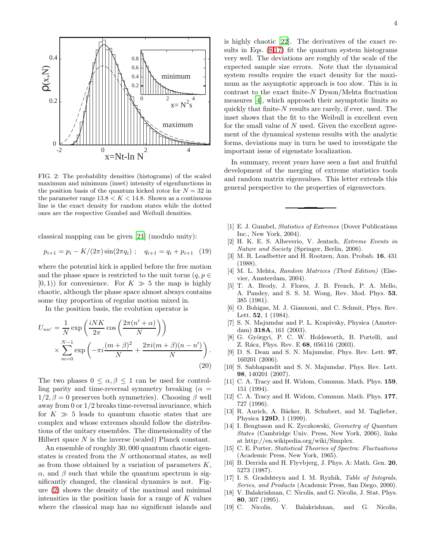

<span id="page-3-19"></span>FIG. 2: The probability densities (histograms) of the scaled maximum and minimum (inset) intensity of eigenfunctions in the position basis of the quantum kicked rotor for  $N = 32$  in the parameter range  $13.8 < K < 14.8$ . Shown as a continuous line is the exact density for random states while the dotted ones are the respective Gumbel and Weibull densities.

classical mapping can be given [\[21\]](#page-4-1) (modulo unity):

$$
p_{i+1} = p_i - K/(2\pi)\sin(2\pi q_i) \; ; \quad q_{i+1} = q_i + p_{i+1} \quad (19)
$$

where the potential kick is applied before the free motion and the phase space is restricted to the unit torus  $(q, p \in$  $[0, 1)$  for convenience. For  $K \gg 5$  the map is highly chaotic, although the phase space almost always contains some tiny proportion of regular motion mixed in.

In the position basis, the evolution operator is

$$
U_{nn'} = \frac{1}{N} \exp\left(\frac{iNK}{2\pi} \cos\left(\frac{2\pi(n'+\alpha)}{N}\right)\right)
$$

$$
\times \sum_{m=0}^{N-1} \exp\left(-\pi i \frac{(m+\beta)^2}{N} + \frac{2\pi i(m+\beta)(n-n')}{N}\right).
$$
(20)

The two phases  $0 \leq \alpha, \beta \leq 1$  can be used for controlling parity and time-reversal symmetry breaking ( $\alpha =$  $1/2$ ,  $\beta = 0$  preserves both symmetries). Choosing  $\beta$  well away from 0 or 1/2 breaks time-reversal invariance, which for  $K \gg 5$  leads to quantum chaotic states that are complex and whose extremes should follow the distributions of the unitary ensembles. The dimensionality of the Hilbert space  $N$  is the inverse (scaled) Planck constant.

An ensemble of roughly 30, 000 quantum chaotic eigenstates is created from the N orthonormal states, as well as from those obtained by a variation of parameters  $K$ ,  $\alpha$ , and  $\beta$  such that while the quantum spectrum is significantly changed, the classical dynamics is not. Figure [\(2\)](#page-3-19) shows the density of the maximal and minimal intensities in the position basis for a range of  $K$  values where the classical map has no significant islands and is highly chaotic [\[22](#page-4-2)]. The derivatives of the exact results in Eqs.  $(8,17)$  $(8,17)$  fit the quantum system histograms very well. The deviations are roughly of the scale of the expected sample size errors. Note that the dynamical system results require the exact density for the maximum as the asymptotic approach is too slow. This is in contrast to the exact finite- $N$  Dyson/Mehta fluctuation measures [\[4\]](#page-3-3), which approach their asymptotic limits so quickly that finite- $N$  results are rarely, if ever, used. The inset shows that the fit to the Weibull is excellent even for the small value of  $N$  used. Given the excellent agreement of the dynamical systems results with the analytic forms, deviations may in turn be used to investigate the important issue of eigenstate localization.

In summary, recent years have seen a fast and fruitful development of the merging of extreme statistics tools and random matrix eigenvalues. This letter extends this general perspective to the properties of eigenvectors.

- <span id="page-3-0"></span>[1] E. J. Gumbel, *Statistics of Extremes* (Dover Publications Inc., New York, 2004).
- <span id="page-3-1"></span>[2] H. K. E. S. Albeverio, V. Jentsch, *Extreme Events in Nature and Society* (Springer, Berlin, 2006).
- <span id="page-3-2"></span>[3] M. R. Leadbetter and H. Rootzen, Ann. Probab. 16, 431 (1988).
- <span id="page-3-3"></span>[4] M. L. Mehta, *Random Matrices (Third Edition)* (Elsevier, Amsterdam, 2004).
- <span id="page-3-4"></span>[5] T. A. Brody, J. Flores, J. B. French, P. A. Mello, A. Pandey, and S. S. M. Wong, Rev. Mod. Phys. 53, 385 (1981).
- <span id="page-3-5"></span>[6] O. Bohigas, M. J. Giannoni, and C. Schmit, Phys. Rev. Lett. 52, 1 (1984).
- <span id="page-3-6"></span>[7] S. N. Majumdar and P. L. Krapivsky, Physica (Amsterdam) 318A, 161 (2003).
- <span id="page-3-7"></span>[8] G. Györgyi, P. C. W. Holdsworth, B. Portelli, and Z. Rácz, Phys. Rev. E 68, 056116 (2003).
- <span id="page-3-8"></span>[9] D. S. Dean and S. N. Majumdar, Phys. Rev. Lett. 97, 160201 (2006).
- <span id="page-3-9"></span>[10] S. Sabhapandit and S. N. Majumdar, Phys. Rev. Lett. 98, 140201 (2007).
- <span id="page-3-10"></span>[11] C. A. Tracy and H. Widom, Commun. Math. Phys. 159, 151 (1994).
- <span id="page-3-11"></span>[12] C. A. Tracy and H. Widom, Commun. Math. Phys. 177, 727 (1996).
- <span id="page-3-12"></span>[13] R. Aurich, A. Bäcker, R. Schubert, and M. Taglieber, Physica 129D, 1 (1999).
- <span id="page-3-13"></span>[14] I. Bengtsson and K. Zyczkowski, *Geometry of Quantum States* (Cambridge Univ. Press, New York, 2006), links at http://en.wikipedia.org/wiki/Simplex.
- <span id="page-3-14"></span>[15] C. E. Porter, *Statistical Theories of Spectra: Fluctuations* (Academic Press, New York, 1965).
- <span id="page-3-15"></span>[16] B. Derrida and H. Flyvbjerg, J. Phys. A: Math. Gen. 20, 5273 (1987).
- <span id="page-3-16"></span>[17] I. S. Gradshteyn and I. M. Ryzhik, *Table of Integrals, Series, and Products* (Academic Press, San Diego, 2000).
- <span id="page-3-17"></span>[18] V. Balakrishnan, C. Nicolis, and G. Nicolis, J. Stat. Phys. 80, 307 (1995).
- <span id="page-3-18"></span>[19] C. Nicolis, V. Balakrishnan, and G. Nicolis,